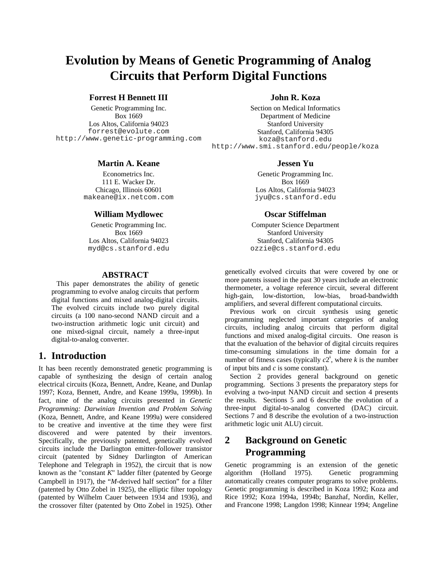# **Evolution by Means of Genetic Programming of Analog Circuits that Perform Digital Functions**

## **Forrest H Bennett III**

Genetic Programming Inc. Box 1669 Los Altos, California 94023 forrest@evolute.com http://www.genetic-programming.com

#### **Martin A. Keane**

Econometrics Inc. 111 E. Wacker Dr. Chicago, Illinois 60601 makeane@ix.netcom.com

### **William Mydlowec**

Genetic Programming Inc. Box 1669 Los Altos, California 94023 myd@cs.stanford.edu

#### **ABSTRACT**

This paper demonstrates the ability of genetic programming to evolve analog circuits that perform digital functions and mixed analog-digital circuits. The evolved circuits include two purely digital circuits (a 100 nano-second NAND circuit and a two-instruction arithmetic logic unit circuit) and one mixed-signal circuit, namely a three-input digital-to-analog converter.

## **1. Introduction**

It has been recently demonstrated genetic programming is capable of synthesizing the design of certain analog electrical circuits (Koza, Bennett, Andre, Keane, and Dunlap 1997; Koza, Bennett, Andre, and Keane 1999a, 1999b). In fact, nine of the analog circuits presented in *Genetic Programming: Darwinian Invention and Problem Solving* (Koza, Bennett, Andre, and Keane 1999a) were considered to be creative and inventive at the time they were first discovered and were patented by their inventors. Specifically, the previously patented, genetically evolved circuits include the Darlington emitter-follower transistor circuit (patented by Sidney Darlington of American Telephone and Telegraph in 1952), the circuit that is now known as the "constant *K*" ladder filter (patented by George Campbell in 1917), the "*M*-derived half section" for a filter (patented by Otto Zobel in 1925), the elliptic filter topology (patented by Wilhelm Cauer between 1934 and 1936), and the crossover filter (patented by Otto Zobel in 1925). Other

## **John R. Koza**

Section on Medical Informatics Department of Medicine Stanford University Stanford, California 94305 koza@stanford.edu http://www.smi.stanford.edu/people/koza

#### **Jessen Yu**

Genetic Programming Inc. Box 1669 Los Altos, California 94023 jyu@cs.stanford.edu

### **Oscar Stiffelman**

Computer Science Department Stanford University Stanford, California 94305 ozzie@cs.stanford.edu

genetically evolved circuits that were covered by one or more patents issued in the past 30 years include an electronic thermometer, a voltage reference circuit, several different high-gain, low-distortion, low-bias, broad-bandwidth amplifiers, and several different computational circuits.

Previous work on circuit synthesis using genetic programming neglected important categories of analog circuits, including analog circuits that perform digital functions and mixed analog-digital circuits. One reason is that the evaluation of the behavior of digital circuits requires time-consuming simulations in the time domain for a number of fitness cases (typically  $c2^k$ , where *k* is the number of input bits and *c* is some constant).

Section 2 provides general background on genetic programming. Sections 3 presents the preparatory steps for evolving a two-input NAND circuit and section 4 presents the results. Sections 5 and 6 describe the evolution of a three-input digital-to-analog converted (DAC) circuit. Sections 7 and 8 describe the evolution of a two-instruction arithmetic logic unit ALU) circuit.

## **2 Background on Genetic Programming**

Genetic programming is an extension of the genetic algorithm (Holland 1975). Genetic programming automatically creates computer programs to solve problems. Genetic programming is described in Koza 1992; Koza and Rice 1992; Koza 1994a, 1994b; Banzhaf, Nordin, Keller, and Francone 1998; Langdon 1998; Kinnear 1994; Angeline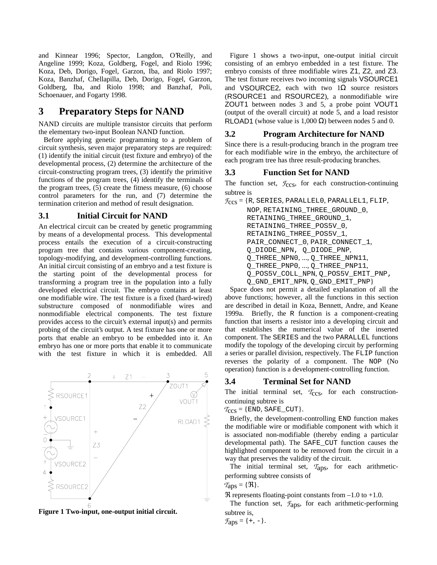and Kinnear 1996; Spector, Langdon, O'Reilly, and Angeline 1999; Koza, Goldberg, Fogel, and Riolo 1996; Koza, Deb, Dorigo, Fogel, Garzon, Iba, and Riolo 1997; Koza, Banzhaf, Chellapilla, Deb, Dorigo, Fogel, Garzon, Goldberg, Iba, and Riolo 1998; and Banzhaf, Poli, Schoenauer, and Fogarty 1998.

## **3 Preparatory Steps for NAND**

NAND circuits are multiple transistor circuits that perform the elementary two-input Boolean NAND function.

Before applying genetic programming to a problem of circuit synthesis, seven major preparatory steps are required: (1) identify the initial circuit (test fixture and embryo) of the developmental process, (2) determine the architecture of the circuit-constructing program trees, (3) identify the primitive functions of the program trees, (4) identify the terminals of the program trees, (5) create the fitness measure, (6) choose control parameters for the run, and (7) determine the termination criterion and method of result designation.

#### **3.1 Initial Circuit for NAND**

An electrical circuit can be created by genetic programming by means of a developmental process. This developmental process entails the execution of a circuit-constructing program tree that contains various component-creating, topology-modifying, and development-controlling functions. An initial circuit consisting of an embryo and a test fixture is the starting point of the developmental process for transforming a program tree in the population into a fully developed electrical circuit. The embryo contains at least one modifiable wire. The test fixture is a fixed (hard-wired) substructure composed of nonmodifiable wires and nonmodifiable electrical components. The test fixture provides access to the circuit's external input(s) and permits probing of the circuit's output. A test fixture has one or more ports that enable an embryo to be embedded into it. An embryo has one or more ports that enable it to communicate with the test fixture in which it is embedded. All



**Figure 1 Two-input, one-output initial circuit.**

Figure 1 shows a two-input, one-output initial circuit consisting of an embryo embedded in a test fixture. The embryo consists of three modifiable wires Z1, Z2, and Z3. The test fixture receives two incoming signals VSOURCE1 and VSOURCE2, each with two  $1\Omega$  source resistors (RSOURCE1 and RSOURCE2), a nonmodifiable wire ZOUT1 between nodes 3 and 5, a probe point VOUT1 (output of the overall circuit) at node 5, and a load resistor RLOAD1 (whose value is  $1,000 \Omega$ ) between nodes 5 and 0.

#### **3.2 Program Architecture for NAND**

Since there is a result-producing branch in the program tree for each modifiable wire in the embryo, the architecture of each program tree has three result-producing branches.

#### **3.3 Function Set for NAND**

The function set,  $\mathcal{F}_{\text{CCS}}$ , for each construction-continuing subtree is

 $\mathcal{F}_{\text{CCS}} = \{R, \text{SERIES}, \text{PARALLELO}, \text{PARALLELI}, \text{FLIP}, \text{PLIP}, \text{PLIP}, \text{PLIP}, \text{PLIP}, \text{PLIP}, \text{PLIP}, \text{PLIP}, \text{PLIP}, \text{PLIP}, \text{PLIP}, \text{PLIP}, \text{PLIP}, \text{PLIP}, \text{PLIP}, \text{PLIP}, \text{PLIP}, \text{PLIP}, \text{PLIP}, \text{PLIP}, \text{PLIP}, \text{PLIP}, \text{PLIP}, \text{PLIP}, \text{PLIP}, \text{PLIP}, \text{PLIP}, \text{PLIP}, \text{PLIP}, \text{PLIP}, \$ 

NOP, RETAINING\_THREE\_GROUND\_0, RETAINING\_THREE\_GROUND\_1, RETAINING\_THREE\_POS5V\_0, RETAINING\_THREE\_POS5V\_1, PAIR\_CONNECT\_0, PAIR\_CONNECT\_1, Q\_DIODE\_NPN, Q\_DIODE\_PNP, Q\_THREE\_NPN0, ..., Q\_THREE\_NPN11, Q\_THREE\_PNP0, ..., Q\_THREE\_PNP11, Q\_POS5V\_COLL\_NPN, Q\_POS5V\_EMIT\_PNP, Q\_GND\_EMIT\_NPN, Q\_GND\_EMIT\_PNP}

Space does not permit a detailed explanation of all the above functions; however, all the functions in this section are described in detail in Koza, Bennett, Andre, and Keane 1999a. Briefly, the R function is a component-creating function that inserts a resistor into a developing circuit and that establishes the numerical value of the inserted component. The SERIES and the two PARALLEL functions modify the topology of the developing circuit by performing a series or parallel division, respectively. The FLIP function reverses the polarity of a component. The NOP (No operation) function is a development-controlling function.

#### **3.4 Terminal Set for NAND**

The initial terminal set,  $T_{CCS}$ , for each constructioncontinuing subtree is

 $T_{CCS} = \{END, SAFE_CUT\}.$ 

Briefly, the development-controlling END function makes the modifiable wire or modifiable component with which it is associated non-modifiable (thereby ending a particular developmental path). The SAFE\_CUT function causes the highlighted component to be removed from the circuit in a way that preserves the validity of the circuit.

The initial terminal set, *T*aps, for each arithmeticperforming subtree consists of

 $T_{\text{ADS}} = \{\Re\}.$ 

 $\Re$  represents floating-point constants from  $-1.0$  to  $+1.0$ .

The function set,  $f_{\text{ADS}}$ , for each arithmetic-performing subtree is,

$$
\mathcal{F}_{\text{aps}} = \{ +, - \}.
$$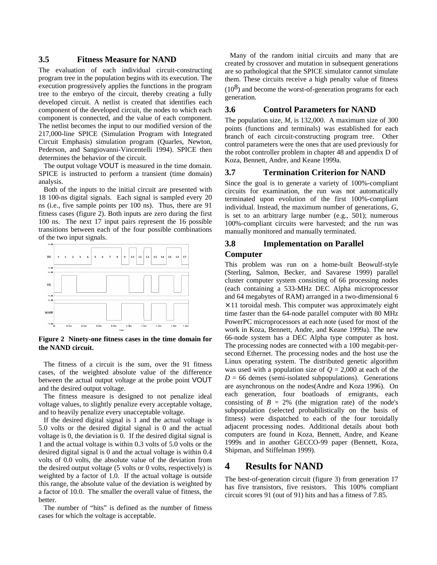#### **3.5 Fitness Measure for NAND**

The evaluation of each individual circuit-constructing program tree in the population begins with its execution. The execution progressively applies the functions in the program tree to the embryo of the circuit, thereby creating a fully developed circuit. A netlist is created that identifies each component of the developed circuit, the nodes to which each component is connected, and the value of each component. The netlist becomes the input to our modified version of the 217,000-line SPICE (Simulation Program with Integrated Circuit Emphasis) simulation program (Quarles, Newton, Pederson, and Sangiovanni-Vincentelli 1994). SPICE then determines the behavior of the circuit.

The output voltage VOUT is measured in the time domain. SPICE is instructed to perform a transient (time domain) analysis.

Both of the inputs to the initial circuit are presented with 18 100-ns digital signals. Each signal is sampled every 20 ns (i.e., five sample points per 100 ns). Thus, there are 91 fitness cases (figure 2). Both inputs are zero during the first 100 ns. The next 17 input pairs represent the 16 possible transitions between each of the four possible combinations of the two input signals.



**Figure 2 Ninety-one fitness cases in the time domain for the NAND circuit.**

The fitness of a circuit is the sum, over the 91 fitness cases, of the weighted absolute value of the difference between the actual output voltage at the probe point VOUT and the desired output voltage.

The fitness measure is designed to not penalize ideal voltage values, to slightly penalize every acceptable voltage, and to heavily penalize every unacceptable voltage.

If the desired digital signal is 1 and the actual voltage is 5.0 volts or the desired digital signal is 0 and the actual voltage is 0, the deviation is 0. If the desired digital signal is 1 and the actual voltage is within 0.3 volts of 5.0 volts or the desired digital signal is 0 and the actual voltage is within 0.4 volts of 0.0 volts, the absolute value of the deviation from the desired output voltage (5 volts or 0 volts, respectively) is weighted by a factor of 1.0. If the actual voltage is outside this range, the absolute value of the deviation is weighted by a factor of 10.0. The smaller the overall value of fitness, the better.

The number of "hits" is defined as the number of fitness cases for which the voltage is acceptable.

Many of the random initial circuits and many that are created by crossover and mutation in subsequent generations are so pathological that the SPICE simulator cannot simulate them. These circuits receive a high penalty value of fitness  $(10<sup>8</sup>)$  and become the worst-of-generation programs for each generation.

#### **3.6 Control Parameters for NAND**

The population size, *M*, is 132,000. A maximum size of 300 points (functions and terminals) was established for each branch of each circuit-constructing program tree. Other control parameters were the ones that are used previously for the robot controller problem in chapter 48 and appendix D of Koza, Bennett, Andre, and Keane 1999a.

### **3.7 Termination Criterion for NAND**

Since the goal is to generate a variety of 100%-compliant circuits for examination, the run was not automatically terminated upon evolution of the first 100%-compliant individual. Instead, the maximum number of generations, *G*, is set to an arbitrary large number (e.g., 501); numerous 100%-compliant circuits were harvested; and the run was manually monitored and manually terminated.

## **3.8 Implementation on Parallel Computer**

This problem was run on a home-built Beowulf-style (Sterling, Salmon, Becker, and Savarese 1999) parallel cluster computer system consisting of 66 processing nodes (each containing a 533-MHz DEC Alpha microprocessor and 64 megabytes of RAM) arranged in a two-dimensional 6  $\times$  11 toroidal mesh. This computer was approximately eight time faster than the 64-node parallel computer with 80 MHz PowerPC microprocessors at each note (used for most of the work in Koza, Bennett, Andre, and Keane 1999a). The new 66-node system has a DEC Alpha type computer as host. The processing nodes are connected with a 100 megabit-persecond Ethernet. The processing nodes and the host use the Linux operating system. The distributed genetic algorithm was used with a population size of  $Q = 2,000$  at each of the  $D = 66$  demes (semi-isolated subpopulations). Generations are asynchronous on the nodes(Andre and Koza 1996). On each generation, four boatloads of emigrants, each consisting of  $B = 2\%$  (the migration rate) of the node's subpopulation (selected probabilistically on the basis of fitness) were dispatched to each of the four toroidally adjacent processing nodes. Additional details about both computers are found in Koza, Bennett, Andre, and Keane 1999s and in another GECCO-99 paper (Bennett, Koza, Shipman, and Stiffelman 1999).

## **4 Results for NAND**

The best-of-generation circuit (figure 3) from generation 17 has five transistors, five resistors. This 100% compliant circuit scores 91 (out of 91) hits and has a fitness of 7.85.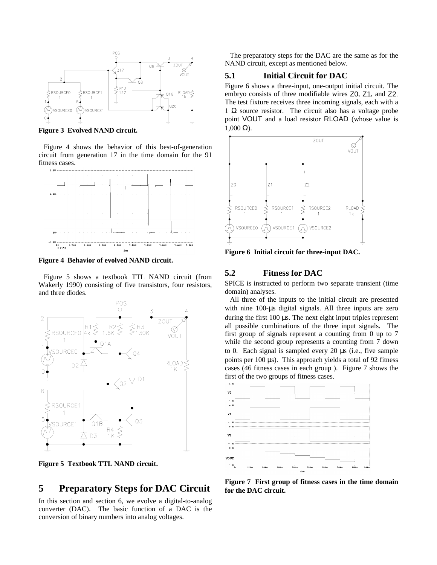

**Figure 3 Evolved NAND circuit.**

Figure 4 shows the behavior of this best-of-generation circuit from generation 17 in the time domain for the 91 fitness cases.



**Figure 4 Behavior of evolved NAND circuit.**

Figure 5 shows a textbook TTL NAND circuit (from Wakerly 1990) consisting of five transistors, four resistors, and three diodes.



**Figure 5 Textbook TTL NAND circuit.**

## **5 Preparatory Steps for DAC Circuit**

In this section and section 6, we evolve a digital-to-analog converter (DAC). The basic function of a DAC is the conversion of binary numbers into analog voltages.

The preparatory steps for the DAC are the same as for the NAND circuit, except as mentioned below.

#### **5.1 Initial Circuit for DAC**

Figure 6 shows a three-input, one-output initial circuit. The embryo consists of three modifiable wires Z0, Z1, and Z2. The test fixture receives three incoming signals, each with a 1  $\Omega$  source resistor. The circuit also has a voltage probe point VOUT and a load resistor RLOAD (whose value is  $1,000 \Omega$ ).



**Figure 6 Initial circuit for three-input DAC.**

#### **5.2 Fitness for DAC**

SPICE is instructed to perform two separate transient (time domain) analyses.

All three of the inputs to the initial circuit are presented with nine 100-µs digital signals. All three inputs are zero during the first 100 µs. The next eight input triples represent all possible combinations of the three input signals. The first group of signals represent a counting from 0 up to 7 while the second group represents a counting from 7 down to 0. Each signal is sampled every 20 µs (i.e., five sample points per 100 µs). This approach yields a total of 92 fitness cases (46 fitness cases in each group ). Figure 7 shows the first of the two groups of fitness cases.



**Figure 7 First group of fitness cases in the time domain for the DAC circuit.**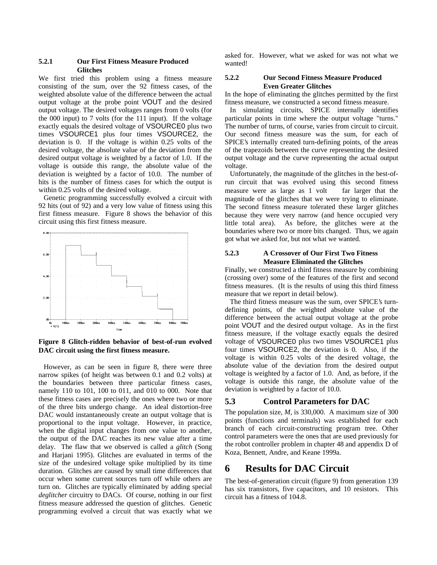#### **5.2.1 Our First Fitness Measure Produced Glitches**

We first tried this problem using a fitness measure consisting of the sum, over the 92 fitness cases, of the weighted absolute value of the difference between the actual output voltage at the probe point VOUT and the desired output voltage. The desired voltages ranges from 0 volts (for the 000 input) to 7 volts (for the 111 input). If the voltage exactly equals the desired voltage of VSOURCE0 plus two times VSOURCE1 plus four times VSOURCE2, the deviation is 0. If the voltage is within 0.25 volts of the desired voltage, the absolute value of the deviation from the desired output voltage is weighted by a factor of 1.0. If the voltage is outside this range, the absolute value of the deviation is weighted by a factor of 10.0. The number of hits is the number of fitness cases for which the output is within 0.25 volts of the desired voltage.

Genetic programming successfully evolved a circuit with 92 hits (out of 92) and a very low value of fitness using this first fitness measure. Figure 8 shows the behavior of this circuit using this first fitness measure.



**Figure 8 Glitch-ridden behavior of best-of-run evolved DAC circuit using the first fitness measure.**

However, as can be seen in figure 8, there were three narrow spikes (of height was between 0.1 and 0.2 volts) at the boundaries between three particular fitness cases, namely 110 to 101, 100 to 011, and 010 to 000. Note that these fitness cases are precisely the ones where two or more of the three bits undergo change. An ideal distortion-free DAC would instantaneously create an output voltage that is proportional to the input voltage. However, in practice, when the digital input changes from one value to another, the output of the DAC reaches its new value after a time delay. The flaw that we observed is called a *glitch* (Song and Harjani 1995). Glitches are evaluated in terms of the size of the undesired voltage spike multiplied by its time duration. Glitches are caused by small time differences that occur when some current sources turn off while others are turn on. Glitches are typically eliminated by adding special *deglitcher* circuitry to DACs. Of course, nothing in our first fitness measure addressed the question of glitches. Genetic programming evolved a circuit that was exactly what we asked for. However, what we asked for was not what we wanted!

#### **5.2.2 Our Second Fitness Measure Produced Even Greater Glitches**

In the hope of eliminating the glitches permitted by the first fitness measure, we constructed a second fitness measure.

In simulating circuits, SPICE internally identifies particular points in time where the output voltage "turns." The number of turns, of course, varies from circuit to circuit. Our second fitness measure was the sum, for each of SPICE's internally created turn-defining points, of the areas of the trapezoids between the curve representing the desired output voltage and the curve representing the actual output voltage.

Unfortunately, the magnitude of the glitches in the best-ofrun circuit that was evolved using this second fitness measure were as large as  $1$  volt  $-$  far larger that the magnitude of the glitches that we were trying to eliminate. The second fitness measure tolerated these larger glitches because they were very narrow (and hence occupied very little total area). As before, the glitches were at the boundaries where two or more bits changed. Thus, we again got what we asked for, but not what we wanted.

#### **5.2.3 A Crossover of Our First Two Fitness Measure Eliminated the Glitches**

Finally, we constructed a third fitness measure by combining (crossing over) some of the features of the first and second fitness measures. (It is the results of using this third fitness measure that we report in detail below).

The third fitness measure was the sum, over SPICE's turndefining points, of the weighted absolute value of the difference between the actual output voltage at the probe point VOUT and the desired output voltage. As in the first fitness measure, if the voltage exactly equals the desired voltage of VSOURCE0 plus two times VSOURCE1 plus four times VSOURCE2, the deviation is 0. Also, if the voltage is within 0.25 volts of the desired voltage, the absolute value of the deviation from the desired output voltage is weighted by a factor of 1.0. And, as before, if the voltage is outside this range, the absolute value of the deviation is weighted by a factor of 10.0.

### **5.3 Control Parameters for DAC**

The population size, *M*, is 330,000. A maximum size of 300 points (functions and terminals) was established for each branch of each circuit-constructing program tree. Other control parameters were the ones that are used previously for the robot controller problem in chapter 48 and appendix D of Koza, Bennett, Andre, and Keane 1999a.

## **6 Results for DAC Circuit**

The best-of-generation circuit (figure 9) from generation 139 has six transistors, five capacitors, and 10 resistors. This circuit has a fitness of 104.8.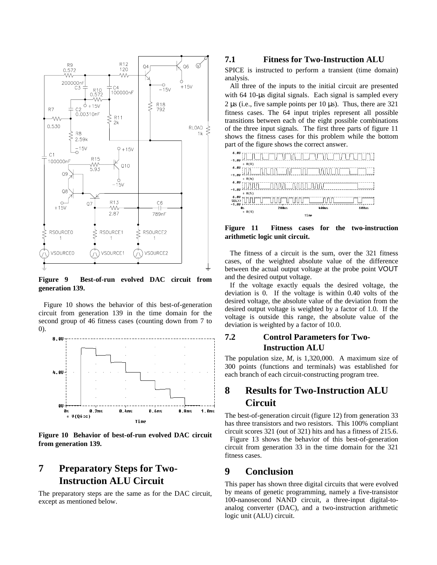

**Figure 9 Best-of-run evolved DAC circuit from generation 139.**

Figure 10 shows the behavior of this best-of-generation circuit from generation 139 in the time domain for the second group of 46 fitness cases (counting down from 7 to 0).



**Figure 10 Behavior of best-of-run evolved DAC circuit from generation 139.**

## **7 Preparatory Steps for Two-Instruction ALU Circuit**

The preparatory steps are the same as for the DAC circuit, except as mentioned below.

## **7.1 Fitness for Two-Instruction ALU**

SPICE is instructed to perform a transient (time domain) analysis.

All three of the inputs to the initial circuit are presented with 64 10-us digital signals. Each signal is sampled every 2  $\mu$ s (i.e., five sample points per 10  $\mu$ s). Thus, there are 321 fitness cases. The 64 input triples represent all possible transitions between each of the eight possible combinations of the three input signals. The first three parts of figure 11 shows the fitness cases for this problem while the bottom part of the figure shows the correct answer.



**Figure 11 Fitness cases for the two-instruction arithmetic logic unit circuit.**

The fitness of a circuit is the sum, over the 321 fitness cases, of the weighted absolute value of the difference between the actual output voltage at the probe point VOUT and the desired output voltage.

If the voltage exactly equals the desired voltage, the deviation is 0. If the voltage is within 0.40 volts of the desired voltage, the absolute value of the deviation from the desired output voltage is weighted by a factor of 1.0. If the voltage is outside this range, the absolute value of the deviation is weighted by a factor of 10.0.

## **7.2 Control Parameters for Two-Instruction ALU**

The population size, *M*, is 1,320,000. A maximum size of 300 points (functions and terminals) was established for each branch of each circuit-constructing program tree.

## **8 Results for Two-Instruction ALU Circuit**

The best-of-generation circuit (figure 12) from generation 33 has three transistors and two resistors. This 100% compliant circuit scores 321 (out of 321) hits and has a fitness of 215.6.

Figure 13 shows the behavior of this best-of-generation circuit from generation 33 in the time domain for the 321 fitness cases.

## **9 Conclusion**

This paper has shown three digital circuits that were evolved by means of genetic programming, namely a five-transistor 100-nanosecond NAND circuit, a three-input digital-toanalog converter (DAC), and a two-instruction arithmetic logic unit (ALU) circuit.